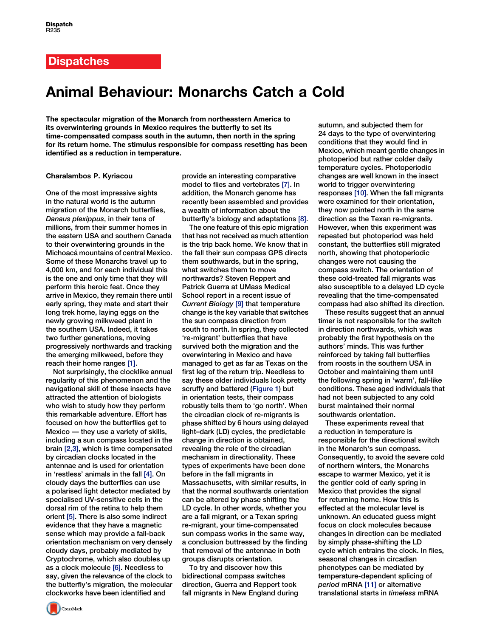## Animal Behaviour: Monarchs Catch a Cold

The spectacular migration of the Monarch from northeastern America to its overwintering grounds in Mexico requires the butterfly to set its time-compensated compass south in the autumn, then north in the spring for its return home. The stimulus responsible for compass resetting has been identified as a reduction in temperature.

### Charalambos P. Kyriacou

One of the most impressive sights in the natural world is the autumn migration of the Monarch butterflies, Danaus plexippus, in their tens of millions, from their summer homes in the eastern USA and southern Canada to their overwintering grounds in the Michoacá mountains of central Mexico. Some of these Monarchs travel up to 4,000 km, and for each individual this is the one and only time that they will perform this heroic feat. Once they arrive in Mexico, they remain there until early spring, they mate and start their long trek home, laying eggs on the newly growing milkweed plant in the southern USA. Indeed, it takes two further generations, moving progressively northwards and tracking the emerging milkweed, before they reach their home ranges [\[1\].](#page-1-0)

Not surprisingly, the clocklike annual regularity of this phenomenon and the navigational skill of these insects have attracted the attention of biologists who wish to study how they perform this remarkable adventure. Effort has focused on how the butterflies get to Mexico — they use a variety of skills, including a sun compass located in the brain [\[2,3\]](#page-1-0), which is time compensated by circadian clocks located in the antennae and is used for orientation in 'restless' animals in the fall [\[4\].](#page-1-0) On cloudy days the butterflies can use a polarised light detector mediated by specialised UV-sensitive cells in the dorsal rim of the retina to help them orient [\[5\].](#page-1-0) There is also some indirect evidence that they have a magnetic sense which may provide a fall-back orientation mechanism on very densely cloudy days, probably mediated by Cryptochrome, which also doubles up as a clock molecule [\[6\]](#page-1-0). Needless to say, given the relevance of the clock to the butterfly's migration, the molecular clockworks have been identified and

provide an interesting comparative model to flies and vertebrates [\[7\]](#page-1-0). In addition, the Monarch genome has recently been assembled and provides a wealth of information about the butterfly's biology and adaptations [\[8\]](#page-1-0).

The one feature of this epic migration that has not received as much attention is the trip back home. We know that in the fall their sun compass GPS directs them southwards, but in the spring, what switches them to move northwards? Steven Reppert and Patrick Guerra at UMass Medical School report in a recent issue of Current Biology [\[9\]](#page-1-0) that temperature change is the key variable that switches the sun compass direction from south to north. In spring, they collected 're-migrant' butterflies that have survived both the migration and the overwintering in Mexico and have managed to get as far as Texas on the first leg of the return trip. Needless to say these older individuals look pretty scruffy and battered [\(Figure 1\)](#page-1-0) but in orientation tests, their compass robustly tells them to 'go north'. When the circadian clock of re-migrants is phase shifted by 6 hours using delayed light–dark (LD) cycles, the predictable change in direction is obtained, revealing the role of the circadian mechanism in directionality. These types of experiments have been done before in the fall migrants in Massachusetts, with similar results, in that the normal southwards orientation can be altered by phase shifting the LD cycle. In other words, whether you are a fall migrant, or a Texan spring re-migrant, your time-compensated sun compass works in the same way, a conclusion buttressed by the finding that removal of the antennae in both groups disrupts orientation.

To try and discover how this bidirectional compass switches direction, Guerra and Reppert took fall migrants in New England during autumn, and subjected them for 24 days to the type of overwintering conditions that they would find in Mexico, which meant gentle changes in photoperiod but rather colder daily temperature cycles. Photoperiodic changes are well known in the insect world to trigger overwintering responses [\[10\]](#page-1-0). When the fall migrants were examined for their orientation, they now pointed north in the same direction as the Texan re-migrants. However, when this experiment was repeated but photoperiod was held constant, the butterflies still migrated north, showing that photoperiodic changes were not causing the compass switch. The orientation of these cold-treated fall migrants was also susceptible to a delayed LD cycle revealing that the time-compensated compass had also shifted its direction.

These results suggest that an annual timer is not responsible for the switch in direction northwards, which was probably the first hypothesis on the authors' minds. This was further reinforced by taking fall butterflies from roosts in the southern USA in October and maintaining them until the following spring in 'warm', fall-like conditions. These aged individuals that had not been subjected to any cold burst maintained their normal southwards orientation.

These experiments reveal that a reduction in temperature is responsible for the directional switch in the Monarch's sun compass. Consequently, to avoid the severe cold of northern winters, the Monarchs escape to warmer Mexico, yet it is the gentler cold of early spring in Mexico that provides the signal for returning home. How this is effected at the molecular level is unknown. An educated guess might focus on clock molecules because changes in direction can be mediated by simply phase-shifting the LD cycle which entrains the clock. In flies, seasonal changes in circadian phenotypes can be mediated by temperature-dependent splicing of period mRNA [\[11\]](#page-1-0) or alternative translational starts in timeless mRNA